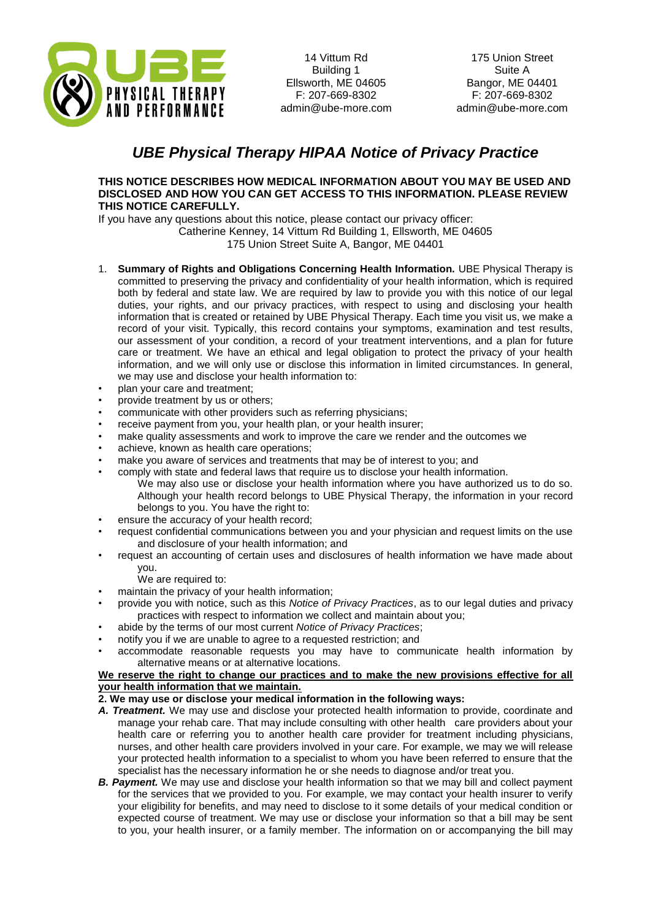

175 Union Street Suite A Bangor, ME 04401 F: 207-669-8302 admin@ube-more.com

## *UBE Physical Therapy HIPAA Notice of Privacy Practice*

## **THIS NOTICE DESCRIBES HOW MEDICAL INFORMATION ABOUT YOU MAY BE USED AND DISCLOSED AND HOW YOU CAN GET ACCESS TO THIS INFORMATION. PLEASE REVIEW THIS NOTICE CAREFULLY.**

If you have any questions about this notice, please contact our privacy officer: Catherine Kenney, 14 Vittum Rd Building 1, Ellsworth, ME 04605 175 Union Street Suite A, Bangor, ME 04401

- 1. **Summary of Rights and Obligations Concerning Health Information.** UBE Physical Therapy is committed to preserving the privacy and confidentiality of your health information, which is required both by federal and state law. We are required by law to provide you with this notice of our legal duties, your rights, and our privacy practices, with respect to using and disclosing your health information that is created or retained by UBE Physical Therapy. Each time you visit us, we make a record of your visit. Typically, this record contains your symptoms, examination and test results, our assessment of your condition, a record of your treatment interventions, and a plan for future care or treatment. We have an ethical and legal obligation to protect the privacy of your health information, and we will only use or disclose this information in limited circumstances. In general, we may use and disclose your health information to:
- plan your care and treatment;
- provide treatment by us or others;
- communicate with other providers such as referring physicians;
- receive payment from you, your health plan, or your health insurer;
- make quality assessments and work to improve the care we render and the outcomes we
- achieve, known as health care operations;
- make you aware of services and treatments that may be of interest to you; and
- comply with state and federal laws that require us to disclose your health information. We may also use or disclose your health information where you have authorized us to do so. Although your health record belongs to UBE Physical Therapy, the information in your record belongs to you. You have the right to:
- ensure the accuracy of your health record;
- request confidential communications between you and your physician and request limits on the use and disclosure of your health information; and
- request an accounting of certain uses and disclosures of health information we have made about you.
	- We are required to:
- maintain the privacy of your health information;
- provide you with notice, such as this *Notice of Privacy Practices*, as to our legal duties and privacy practices with respect to information we collect and maintain about you;
- abide by the terms of our most current *Notice of Privacy Practices*;
- notify you if we are unable to agree to a requested restriction; and
- accommodate reasonable requests you may have to communicate health information by alternative means or at alternative locations.

## **We reserve the right to change our practices and to make the new provisions effective for all your health information that we maintain.**

## **2. We may use or disclose your medical information in the following ways:**

- *A. Treatment.* We may use and disclose your protected health information to provide, coordinate and manage your rehab care. That may include consulting with other health care providers about your health care or referring you to another health care provider for treatment including physicians, nurses, and other health care providers involved in your care. For example, we may we will release your protected health information to a specialist to whom you have been referred to ensure that the specialist has the necessary information he or she needs to diagnose and/or treat you.
- **B. Payment.** We may use and disclose your health information so that we may bill and collect payment for the services that we provided to you. For example, we may contact your health insurer to verify your eligibility for benefits, and may need to disclose to it some details of your medical condition or expected course of treatment. We may use or disclose your information so that a bill may be sent to you, your health insurer, or a family member. The information on or accompanying the bill may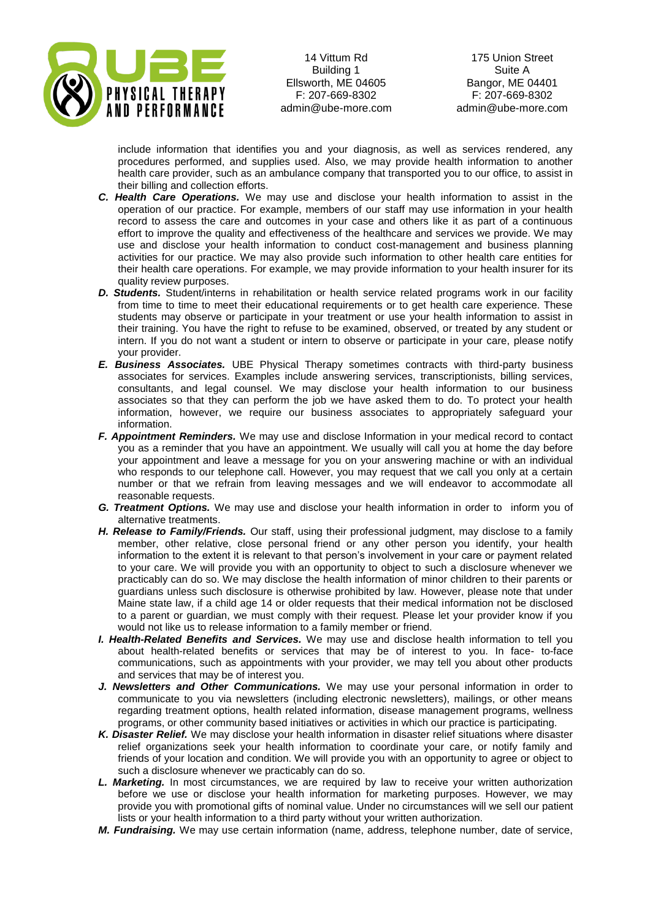

175 Union Street Suite A Bangor, ME 04401 F: 207-669-8302 admin@ube-more.com

include information that identifies you and your diagnosis, as well as services rendered, any procedures performed, and supplies used. Also, we may provide health information to another health care provider, such as an ambulance company that transported you to our office, to assist in their billing and collection efforts.

- *C. Health Care Operations.* We may use and disclose your health information to assist in the operation of our practice. For example, members of our staff may use information in your health record to assess the care and outcomes in your case and others like it as part of a continuous effort to improve the quality and effectiveness of the healthcare and services we provide. We may use and disclose your health information to conduct cost-management and business planning activities for our practice. We may also provide such information to other health care entities for their health care operations. For example, we may provide information to your health insurer for its quality review purposes.
- *D. Students.* Student/interns in rehabilitation or health service related programs work in our facility from time to time to meet their educational requirements or to get health care experience. These students may observe or participate in your treatment or use your health information to assist in their training. You have the right to refuse to be examined, observed, or treated by any student or intern. If you do not want a student or intern to observe or participate in your care, please notify your provider.
- *E. Business Associates.* UBE Physical Therapy sometimes contracts with third-party business associates for services. Examples include answering services, transcriptionists, billing services, consultants, and legal counsel. We may disclose your health information to our business associates so that they can perform the job we have asked them to do. To protect your health information, however, we require our business associates to appropriately safeguard your information.
- *F. Appointment Reminders.* We may use and disclose Information in your medical record to contact you as a reminder that you have an appointment. We usually will call you at home the day before your appointment and leave a message for you on your answering machine or with an individual who responds to our telephone call. However, you may request that we call you only at a certain number or that we refrain from leaving messages and we will endeavor to accommodate all reasonable requests.
- *G. Treatment Options.* We may use and disclose your health information in order to inform you of alternative treatments.
- *H. Release to Family/Friends.* Our staff, using their professional judgment, may disclose to a family member, other relative, close personal friend or any other person you identify, your health information to the extent it is relevant to that person's involvement in your care or payment related to your care. We will provide you with an opportunity to object to such a disclosure whenever we practicably can do so. We may disclose the health information of minor children to their parents or guardians unless such disclosure is otherwise prohibited by law. However, please note that under Maine state law, if a child age 14 or older requests that their medical information not be disclosed to a parent or guardian, we must comply with their request. Please let your provider know if you would not like us to release information to a family member or friend.
- *I. Health-Related Benefits and Services.* We may use and disclose health information to tell you about health-related benefits or services that may be of interest to you. In face- to-face communications, such as appointments with your provider, we may tell you about other products and services that may be of interest you.
- *J. Newsletters and Other Communications.* We may use your personal information in order to communicate to you via newsletters (including electronic newsletters), mailings, or other means regarding treatment options, health related information, disease management programs, wellness programs, or other community based initiatives or activities in which our practice is participating.
- *K. Disaster Relief.* We may disclose your health information in disaster relief situations where disaster relief organizations seek your health information to coordinate your care, or notify family and friends of your location and condition. We will provide you with an opportunity to agree or object to such a disclosure whenever we practicably can do so.
- *L. Marketing.* In most circumstances, we are required by law to receive your written authorization before we use or disclose your health information for marketing purposes. However, we may provide you with promotional gifts of nominal value. Under no circumstances will we sell our patient lists or your health information to a third party without your written authorization.
- *M. Fundraising.* We may use certain information (name, address, telephone number, date of service,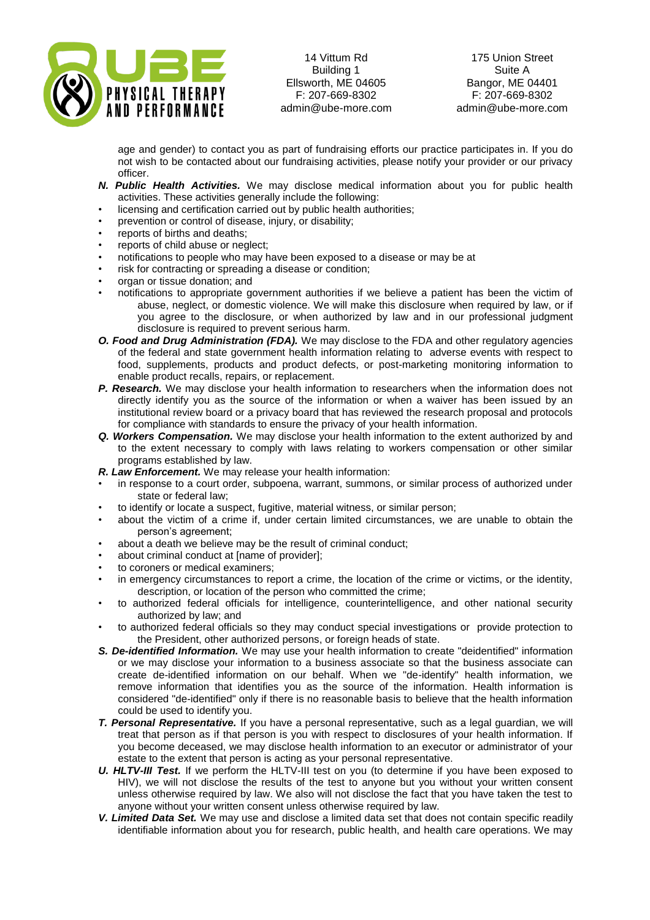

175 Union Street Suite A Bangor, ME 04401 F: 207-669-8302 admin@ube-more.com

age and gender) to contact you as part of fundraising efforts our practice participates in. If you do not wish to be contacted about our fundraising activities, please notify your provider or our privacy officer.

- *N. Public Health Activities.* We may disclose medical information about you for public health activities. These activities generally include the following:
- licensing and certification carried out by public health authorities;
- prevention or control of disease, injury, or disability;
- reports of births and deaths;
- reports of child abuse or neglect;
- notifications to people who may have been exposed to a disease or may be at
- risk for contracting or spreading a disease or condition;
- organ or tissue donation; and
- notifications to appropriate government authorities if we believe a patient has been the victim of abuse, neglect, or domestic violence. We will make this disclosure when required by law, or if you agree to the disclosure, or when authorized by law and in our professional judgment disclosure is required to prevent serious harm.
- *O. Food and Drug Administration (FDA).* We may disclose to the FDA and other regulatory agencies of the federal and state government health information relating to adverse events with respect to food, supplements, products and product defects, or post-marketing monitoring information to enable product recalls, repairs, or replacement.
- **P. Research.** We may disclose your health information to researchers when the information does not directly identify you as the source of the information or when a waiver has been issued by an institutional review board or a privacy board that has reviewed the research proposal and protocols for compliance with standards to ensure the privacy of your health information.
- *Q. Workers Compensation.* We may disclose your health information to the extent authorized by and to the extent necessary to comply with laws relating to workers compensation or other similar programs established by law.
- *R. Law Enforcement.* We may release your health information:
- in response to a court order, subpoena, warrant, summons, or similar process of authorized under state or federal law;
- to identify or locate a suspect, fugitive, material witness, or similar person;
- about the victim of a crime if, under certain limited circumstances, we are unable to obtain the person's agreement;
- about a death we believe may be the result of criminal conduct;
- about criminal conduct at [name of provider];
- to coroners or medical examiners;
- in emergency circumstances to report a crime, the location of the crime or victims, or the identity, description, or location of the person who committed the crime;
- to authorized federal officials for intelligence, counterintelligence, and other national security authorized by law; and
- to authorized federal officials so they may conduct special investigations or provide protection to the President, other authorized persons, or foreign heads of state.
- *S. De-identified Information.* We may use your health information to create "deidentified" information or we may disclose your information to a business associate so that the business associate can create de-identified information on our behalf. When we "de-identify" health information, we remove information that identifies you as the source of the information. Health information is considered "de-identified" only if there is no reasonable basis to believe that the health information could be used to identify you.
- *T. Personal Representative.* If you have a personal representative, such as a legal guardian, we will treat that person as if that person is you with respect to disclosures of your health information. If you become deceased, we may disclose health information to an executor or administrator of your estate to the extent that person is acting as your personal representative.
- *U. HLTV-III Test.* If we perform the HLTV-III test on you (to determine if you have been exposed to HIV), we will not disclose the results of the test to anyone but you without your written consent unless otherwise required by law. We also will not disclose the fact that you have taken the test to anyone without your written consent unless otherwise required by law.
- *V. Limited Data Set.* We may use and disclose a limited data set that does not contain specific readily identifiable information about you for research, public health, and health care operations. We may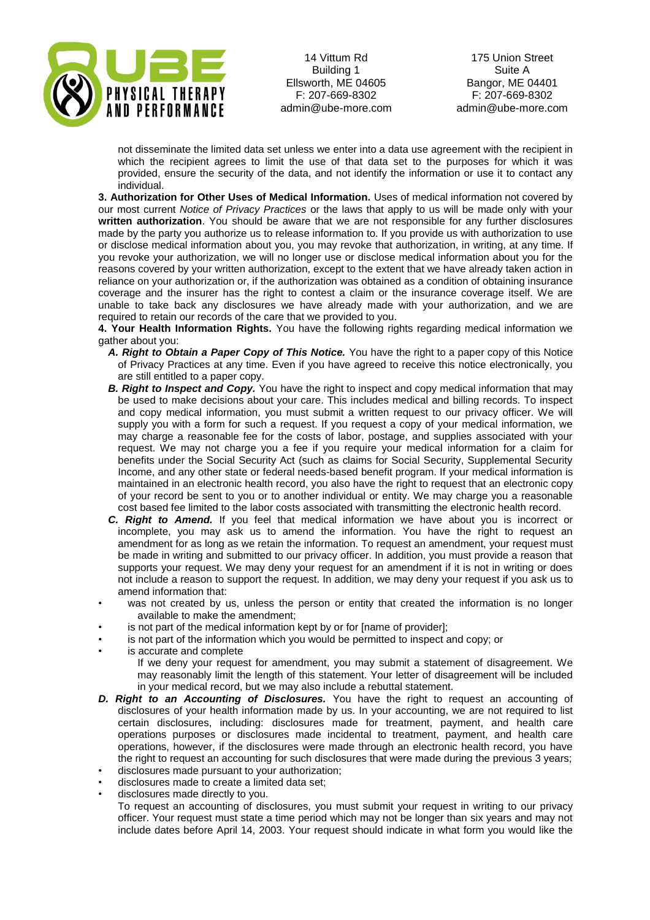

175 Union Street Suite A Bangor, ME 04401 F: 207-669-8302 admin@ube-more.com

not disseminate the limited data set unless we enter into a data use agreement with the recipient in which the recipient agrees to limit the use of that data set to the purposes for which it was provided, ensure the security of the data, and not identify the information or use it to contact any individual.

**3. Authorization for Other Uses of Medical Information.** Uses of medical information not covered by our most current *Notice of Privacy Practices* or the laws that apply to us will be made only with your **written authorization**. You should be aware that we are not responsible for any further disclosures made by the party you authorize us to release information to. If you provide us with authorization to use or disclose medical information about you, you may revoke that authorization, in writing, at any time. If you revoke your authorization, we will no longer use or disclose medical information about you for the reasons covered by your written authorization, except to the extent that we have already taken action in reliance on your authorization or, if the authorization was obtained as a condition of obtaining insurance coverage and the insurer has the right to contest a claim or the insurance coverage itself. We are unable to take back any disclosures we have already made with your authorization, and we are required to retain our records of the care that we provided to you.

**4. Your Health Information Rights.** You have the following rights regarding medical information we gather about you:

- *A. Right to Obtain a Paper Copy of This Notice.* You have the right to a paper copy of this Notice of Privacy Practices at any time. Even if you have agreed to receive this notice electronically, you are still entitled to a paper copy.
- **B. Right to Inspect and Copy.** You have the right to inspect and copy medical information that may be used to make decisions about your care. This includes medical and billing records. To inspect and copy medical information, you must submit a written request to our privacy officer. We will supply you with a form for such a request. If you request a copy of your medical information, we may charge a reasonable fee for the costs of labor, postage, and supplies associated with your request. We may not charge you a fee if you require your medical information for a claim for benefits under the Social Security Act (such as claims for Social Security, Supplemental Security Income, and any other state or federal needs-based benefit program. If your medical information is maintained in an electronic health record, you also have the right to request that an electronic copy of your record be sent to you or to another individual or entity. We may charge you a reasonable cost based fee limited to the labor costs associated with transmitting the electronic health record.
- *C. Right to Amend.* If you feel that medical information we have about you is incorrect or incomplete, you may ask us to amend the information. You have the right to request an amendment for as long as we retain the information. To request an amendment, your request must be made in writing and submitted to our privacy officer. In addition, you must provide a reason that supports your request. We may deny your request for an amendment if it is not in writing or does not include a reason to support the request. In addition, we may deny your request if you ask us to amend information that:
- was not created by us, unless the person or entity that created the information is no longer available to make the amendment;
- is not part of the medical information kept by or for [name of provider];
- is not part of the information which you would be permitted to inspect and copy; or
- is accurate and complete

If we deny your request for amendment, you may submit a statement of disagreement. We may reasonably limit the length of this statement. Your letter of disagreement will be included in your medical record, but we may also include a rebuttal statement.

- *D. Right to an Accounting of Disclosures.* You have the right to request an accounting of disclosures of your health information made by us. In your accounting, we are not required to list certain disclosures, including: disclosures made for treatment, payment, and health care operations purposes or disclosures made incidental to treatment, payment, and health care operations, however, if the disclosures were made through an electronic health record, you have the right to request an accounting for such disclosures that were made during the previous 3 years;
- disclosures made pursuant to your authorization;
- disclosures made to create a limited data set;

• disclosures made directly to you.

To request an accounting of disclosures, you must submit your request in writing to our privacy officer. Your request must state a time period which may not be longer than six years and may not include dates before April 14, 2003. Your request should indicate in what form you would like the